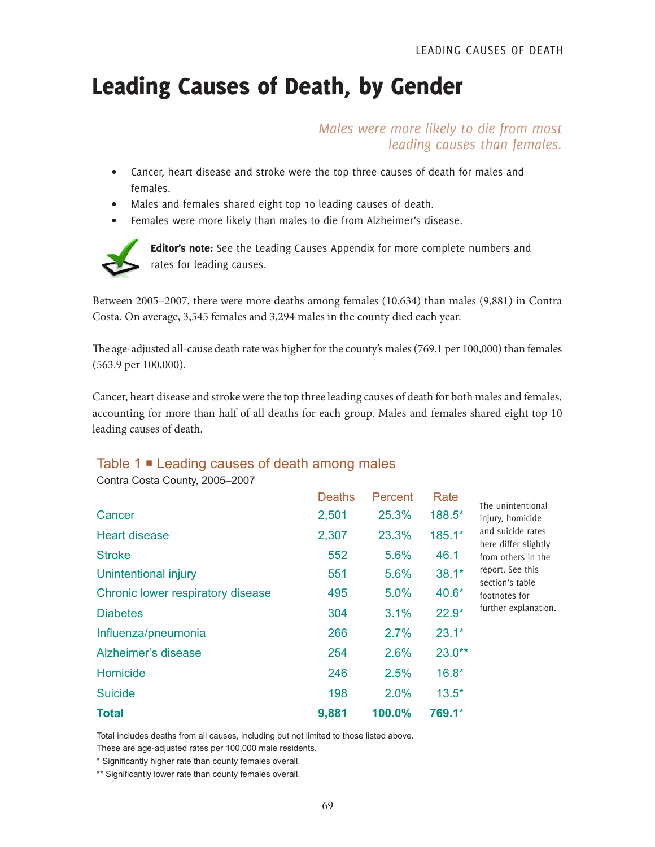## Leading Causes of Death, by Gender

*Males were more likely to die from most leading causes than females.*

- Cancer, heart disease and stroke were the top three causes of death for males and females.
- Males and females shared eight top 10 leading causes of death.
- Females were more likely than males to die from Alzheimer's disease.



Editor's note: See the Leading Causes Appendix for more complete numbers and rates for leading causes.

Between 2005–2007, there were more deaths among females (10,634) than males (9,881) in Contra Costa. On average, 3,545 females and 3,294 males in the county died each year.

The age-adjusted all-cause death rate was higher for the county's males (769.1 per 100,000) than females (563.9 per 100,000).

Cancer, heart disease and stroke were the top three leading causes of death for both males and females, accounting for more than half of all deaths for each group. Males and females shared eight top 10 leading causes of death.

## Table 1 **■** Leading causes of death among males

Contra Costa County, 2005–2007

|                                   | <b>Deaths</b> | Percent | Rate     | The unintentional                                                                                                                                                   |
|-----------------------------------|---------------|---------|----------|---------------------------------------------------------------------------------------------------------------------------------------------------------------------|
| Cancer                            | 2,501         | 25.3%   | 188.5*   | injury, homicide<br>and suicide rates<br>here differ slightly<br>from others in the<br>report. See this<br>section's table<br>footnotes for<br>further explanation. |
| <b>Heart disease</b>              | 2,307         | 23.3%   | $185.1*$ |                                                                                                                                                                     |
| <b>Stroke</b>                     | 552           | 5.6%    | 46.1     |                                                                                                                                                                     |
| Unintentional injury              | 551           | 5.6%    | $38.1*$  |                                                                                                                                                                     |
| Chronic lower respiratory disease | 495           | 5.0%    | $40.6*$  |                                                                                                                                                                     |
| <b>Diabetes</b>                   | 304           | 3.1%    | $22.9*$  |                                                                                                                                                                     |
| Influenza/pneumonia               | 266           | 2.7%    | $23.1*$  |                                                                                                                                                                     |
| Alzheimer's disease               | 254           | 2.6%    | $23.0**$ |                                                                                                                                                                     |
| Homicide                          | 246           | 2.5%    | $16.8*$  |                                                                                                                                                                     |
| <b>Suicide</b>                    | 198           | 2.0%    | $13.5*$  |                                                                                                                                                                     |
| <b>Total</b>                      | 9,881         | 100.0%  | 769.1*   |                                                                                                                                                                     |

Total includes deaths from all causes, including but not limited to those listed above.

These are age-adjusted rates per 100,000 male residents.

\* Significantly higher rate than county females overall.

\*\* Significantly lower rate than county females overall.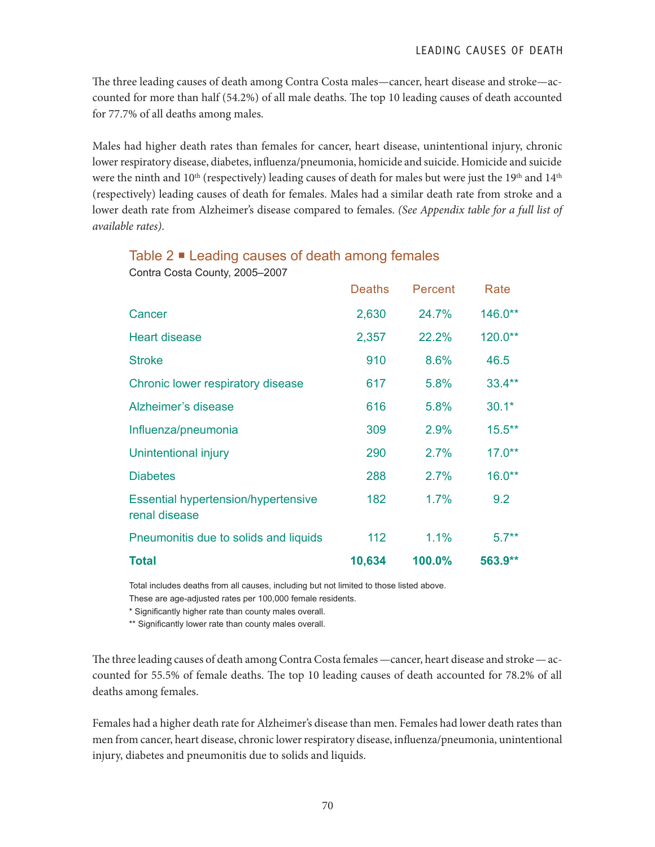The three leading causes of death among Contra Costa males—cancer, heart disease and stroke—accounted for more than half (54.2%) of all male deaths. The top 10 leading causes of death accounted for 77.7% of all deaths among males.

Males had higher death rates than females for cancer, heart disease, unintentional injury, chronic lower respiratory disease, diabetes, influenza/pneumonia, homicide and suicide. Homicide and suicide were the ninth and  $10^{th}$  (respectively) leading causes of death for males but were just the  $19^{th}$  and  $14^{th}$ (respectively) leading causes of death for females. Males had a similar death rate from stroke and a lower death rate from Alzheimer's disease compared to females. *(See Appendix table for a full list of available rates)*.

## Table  $2 \blacksquare$  Leading causes of death among females

Contra Costa County, 2005–2007

|                                                             | <b>Deaths</b> | Percent | Rate      |
|-------------------------------------------------------------|---------------|---------|-----------|
| Cancer                                                      | 2,630         | 24.7%   | 146.0**   |
| <b>Heart disease</b>                                        | 2,357         | 22.2%   | 120.0**   |
| <b>Stroke</b>                                               | 910           | 8.6%    | 46.5      |
| Chronic lower respiratory disease                           | 617           | 5.8%    | $33.4***$ |
| Alzheimer's disease                                         | 616           | 5.8%    | $30.1*$   |
| Influenza/pneumonia                                         | 309           | 2.9%    | $15.5***$ |
| Unintentional injury                                        | 290           | 2.7%    | $17.0**$  |
| <b>Diabetes</b>                                             | 288           | 2.7%    | $16.0**$  |
| <b>Essential hypertension/hypertensive</b><br>renal disease | 182           | 1.7%    | 9.2       |
| Pneumonitis due to solids and liquids                       | 112           | 1.1%    | $5.7**$   |
| <b>Total</b>                                                | 10,634        | 100.0%  | 563.9**   |

Total includes deaths from all causes, including but not limited to those listed above.

These are age-adjusted rates per 100,000 female residents.

\* Significantly higher rate than county males overall.

\*\* Significantly lower rate than county males overall.

The three leading causes of death among Contra Costa females—cancer, heart disease and stroke—accounted for 55.5% of female deaths. The top 10 leading causes of death accounted for 78.2% of all deaths among females.

Females had a higher death rate for Alzheimer's disease than men. Females had lower death rates than men from cancer, heart disease, chronic lower respiratory disease, influenza/pneumonia, unintentional injury, diabetes and pneumonitis due to solids and liquids.